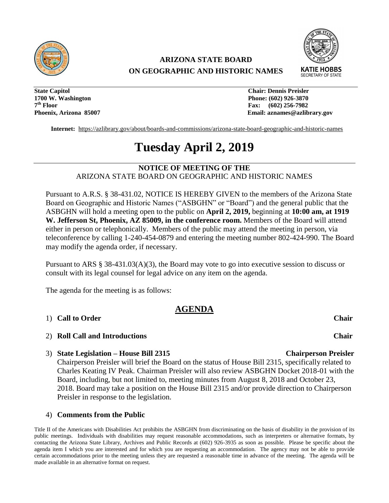

## **ARIZONA STATE BOARD ON GEOGRAPHIC AND HISTORIC NAMES**



**State Capitol Chair: Dennis Preisler 1700 W. Washington Phone: (602) 926-3870**  7<sup>th</sup> Floor

**Fax:** (602) 256-7982 **Phoenix, Arizona 85007 Email: aznames@azlibrary.gov** 

**Internet:** <https://azlibrary.gov/about/boards-and-commissions/arizona-state-board-geographic-and-historic-names>

# **Tuesday April 2, 2019**

**NOTICE OF MEETING OF THE**  ARIZONA STATE BOARD ON GEOGRAPHIC AND HISTORIC NAMES

Pursuant to A.R.S. § 38-431.02, NOTICE IS HEREBY GIVEN to the members of the Arizona State Board on Geographic and Historic Names ("ASBGHN" or "Board") and the general public that the ASBGHN will hold a meeting open to the public on **April 2, 2019,** beginning at **10:00 am, at 1919 W. Jefferson St, Phoenix, AZ 85009, in the conference room.** Members of the Board will attend either in person or telephonically. Members of the public may attend the meeting in person, via teleconference by calling 1-240-454-0879 and entering the meeting number 802-424-990. The Board may modify the agenda order, if necessary.

Pursuant to ARS § 38-431.03(A)(3), the Board may vote to go into executive session to discuss or consult with its legal counsel for legal advice on any item on the agenda.

The agenda for the meeting is as follows:

### **AGENDA**

#### 1) **Call to Order Chair**

- 2) **Roll Call and Introductions Chair**
- 3) **State Legislation – House Bill 2315 Chairperson Preisler**

Chairperson Preisler will brief the Board on the status of House Bill 2315, specifically related to Charles Keating IV Peak. Chairman Preisler will also review ASBGHN Docket 2018-01 with the Board, including, but not limited to, meeting minutes from August 8, 2018 and October 23, 2018. Board may take a position on the House Bill 2315 and/or provide direction to Chairperson Preisler in response to the legislation.

#### 4) **Comments from the Public**

Title II of the Americans with Disabilities Act prohibits the ASBGHN from discriminating on the basis of disability in the provision of its public meetings. Individuals with disabilities may request reasonable accommodations, such as interpreters or alternative formats, by contacting the Arizona State Library, Archives and Public Records at (602) 926-3935 as soon as possible. Please be specific about the agenda item I which you are interested and for which you are requesting an accommodation. The agency may not be able to provide certain accommodations prior to the meeting unless they are requested a reasonable time in advance of the meeting. The agenda will be made available in an alternative format on request.